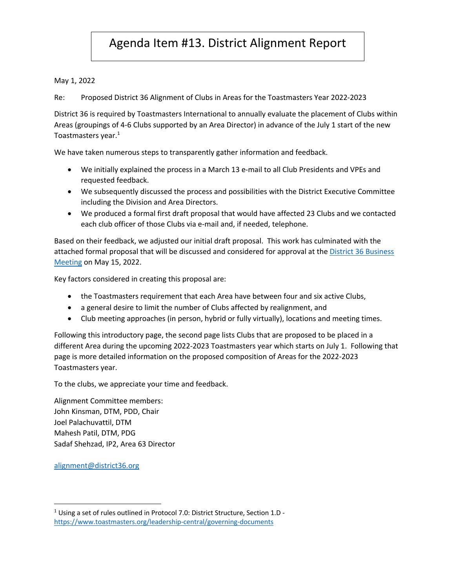## Agenda Item #13. District Alignment Report

May 1, 2022

Re: Proposed District 36 Alignment of Clubs in Areas for the Toastmasters Year 2022-2023

District 36 is required by Toastmasters International to annually evaluate the placement of Clubs within Areas (groupings of 4-6 Clubs supported by an Area Director) in advance of the July 1 start of the new Toastmasters year. 1

We have taken numerous steps to transparently gather information and feedback.

- We initially explained the process in a March 13 e-mail to all Club Presidents and VPEs and requested feedback.
- We subsequently discussed the process and possibilities with the District Executive Committee including the Division and Area Directors.
- We produced a formal first draft proposal that would have affected 23 Clubs and we contacted each club officer of those Clubs via e-mail and, if needed, telephone.

Based on their feedback, we adjusted our initial draft proposal. This work has culminated with the attached formal proposal that will be discussed and considered for approval at the District 36 Business Meeting on May 15, 2022.

Key factors considered in creating this proposal are:

- the Toastmasters requirement that each Area have between four and six active Clubs,
- a general desire to limit the number of Clubs affected by realignment, and
- Club meeting approaches (in person, hybrid or fully virtually), locations and meeting times.

Following this introductory page, the second page lists Clubs that are proposed to be placed in a different Area during the upcoming 2022-2023 Toastmasters year which starts on July 1. Following that page is more detailed information on the proposed composition of Areas for the 2022-2023 Toastmasters year.

To the clubs, we appreciate your time and feedback.

Alignment Committee members: John Kinsman, DTM, PDD, Chair Joel Palachuvattil, DTM Mahesh Patil, DTM, PDG Sadaf Shehzad, IP2, Area 63 Director

alignment@district36.org

<sup>&</sup>lt;sup>1</sup> Using a set of rules outlined in Protocol 7.0: District Structure, Section 1.D https://www.toastmasters.org/leadership-central/governing-documents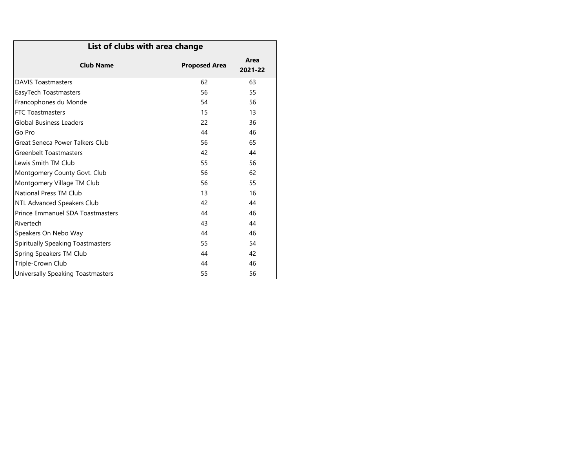| List of clubs with area change          |                      |                 |  |  |
|-----------------------------------------|----------------------|-----------------|--|--|
| <b>Club Name</b>                        | <b>Proposed Area</b> | Area<br>2021-22 |  |  |
| <b>DAVIS Toastmasters</b>               | 62                   | 63              |  |  |
| EasyTech Toastmasters                   | 56                   | 55              |  |  |
| Francophones du Monde                   | 54                   | 56              |  |  |
| <b>FTC Toastmasters</b>                 | 15                   | 13              |  |  |
| Global Business Leaders                 | 22                   | 36              |  |  |
| Go Pro                                  | 44                   | 46              |  |  |
| Great Seneca Power Talkers Club         | 56                   | 65              |  |  |
| Greenbelt Toastmasters                  | 42                   | 44              |  |  |
| Lewis Smith TM Club                     | 55                   | 56              |  |  |
| Montgomery County Govt. Club            | 56                   | 62              |  |  |
| Montgomery Village TM Club              | 56                   | 55              |  |  |
| National Press TM Club                  | 13                   | 16              |  |  |
| NTL Advanced Speakers Club              | 42                   | 44              |  |  |
| <b>Prince Emmanuel SDA Toastmasters</b> | 44                   | 46              |  |  |
| Rivertech                               | 43                   | 44              |  |  |
| Speakers On Nebo Way                    | 44                   | 46              |  |  |
| Spiritually Speaking Toastmasters<br>55 |                      |                 |  |  |
| Spring Speakers TM Club<br>44<br>42     |                      |                 |  |  |
| Triple-Crown Club                       | 44                   | 46              |  |  |
| Universally Speaking Toastmasters       | 55                   | 56              |  |  |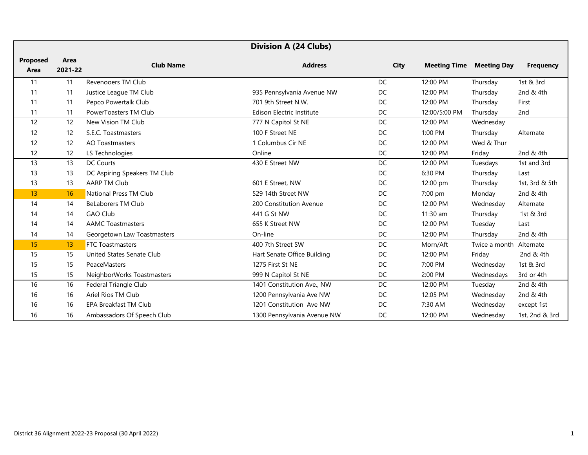| <b>Division A (24 Clubs)</b> |                 |                              |                             |             |                     |                    |                  |
|------------------------------|-----------------|------------------------------|-----------------------------|-------------|---------------------|--------------------|------------------|
| <b>Proposed</b><br>Area      | Area<br>2021-22 | <b>Club Name</b>             | <b>Address</b>              | <b>City</b> | <b>Meeting Time</b> | <b>Meeting Day</b> | <b>Frequency</b> |
| 11                           | 11              | Revenooers TM Club           |                             | <b>DC</b>   | 12:00 PM            | Thursday           | 1st & 3rd        |
| 11                           | 11              | Justice League TM Club       | 935 Pennsylvania Avenue NW  | DC          | 12:00 PM            | Thursday           | 2nd & 4th        |
| 11                           | 11              | Pepco Powertalk Club         | 701 9th Street N.W.         | DC          | 12:00 PM            | Thursday           | First            |
| 11                           | 11              | PowerToasters TM Club        | Edison Electric Institute   | DC          | 12:00/5:00 PM       | Thursday           | 2nd              |
| 12                           | 12              | New Vision TM Club           | 777 N Capitol St NE         | DC          | 12:00 PM            | Wednesday          |                  |
| 12                           | 12              | S.E.C. Toastmasters          | 100 F Street NE             | DC          | 1:00 PM             | Thursday           | Alternate        |
| 12                           | 12              | <b>AO Toastmasters</b>       | 1 Columbus Cir NE           | DC          | 12:00 PM            | Wed & Thur         |                  |
| 12                           | 12              | LS Technologies              | Online                      | DC          | 12:00 PM            | Friday             | 2nd & 4th        |
| 13                           | 13              | DC Courts                    | 430 E Street NW             | DC          | 12:00 PM            | Tuesdays           | 1st and 3rd      |
| 13                           | 13              | DC Aspiring Speakers TM Club |                             | <b>DC</b>   | 6:30 PM             | Thursday           | Last             |
| 13                           | 13              | <b>AARP TM Club</b>          | 601 E Street, NW            | DC          | 12:00 pm            | Thursday           | 1st, 3rd & 5th   |
| 13                           | 16              | National Press TM Club       | 529 14th Street NW          | DC          | 7:00 pm             | Monday             | 2nd & 4th        |
| 14                           | 14              | <b>BeLaborers TM Club</b>    | 200 Constitution Avenue     | DC          | 12:00 PM            | Wednesday          | Alternate        |
| 14                           | 14              | <b>GAO Club</b>              | 441 G St NW                 | <b>DC</b>   | $11:30$ am          | Thursday           | 1st & 3rd        |
| 14                           | 14              | <b>AAMC Toastmasters</b>     | 655 K Street NW             | DC          | 12:00 PM            | Tuesday            | Last             |
| 14                           | 14              | Georgetown Law Toastmasters  | On-line                     | DC          | 12:00 PM            | Thursday           | 2nd & 4th        |
| 15                           | 13              | <b>FTC Toastmasters</b>      | 400 7th Street SW           | DC          | Morn/Aft            | Twice a month      | Alternate        |
| 15                           | 15              | United States Senate Club    | Hart Senate Office Building | DC          | 12:00 PM            | Friday             | 2nd & 4th        |
| 15                           | 15              | PeaceMasters                 | 1275 First St NE            | DC          | 7:00 PM             | Wednesday          | 1st & 3rd        |
| 15                           | 15              | NeighborWorks Toastmasters   | 999 N Capitol St NE         | DC          | 2:00 PM             | Wednesdays         | 3rd or 4th       |
| 16                           | 16              | Federal Triangle Club        | 1401 Constitution Ave., NW  | DC          | 12:00 PM            | Tuesday            | 2nd & 4th        |
| 16                           | 16              | Ariel Rios TM Club           | 1200 Pennsylvania Ave NW    | DC          | 12:05 PM            | Wednesday          | 2nd & 4th        |
| 16                           | 16              | <b>EPA Breakfast TM Club</b> | 1201 Constitution Ave NW    | DC          | 7:30 AM             | Wednesday          | except 1st       |
| 16                           | 16              | Ambassadors Of Speech Club   | 1300 Pennsylvania Avenue NW | DC          | 12:00 PM            | Wednesday          | 1st, 2nd & 3rd   |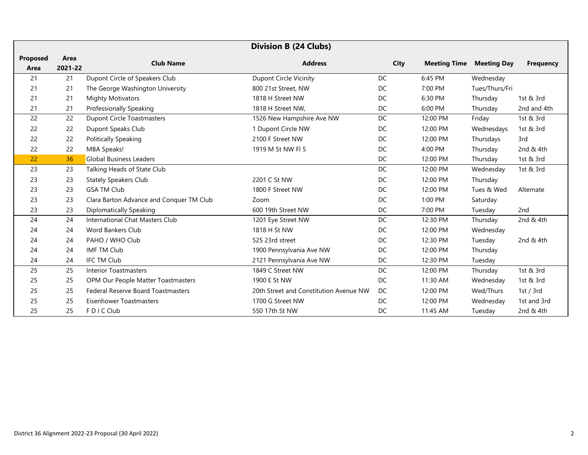| <b>Division B (24 Clubs)</b> |         |                                          |                                        |             |                     |                    |                  |
|------------------------------|---------|------------------------------------------|----------------------------------------|-------------|---------------------|--------------------|------------------|
| <b>Proposed</b>              | Area    | <b>Club Name</b>                         | <b>Address</b>                         | <b>City</b> | <b>Meeting Time</b> | <b>Meeting Day</b> | <b>Frequency</b> |
| Area                         | 2021-22 |                                          |                                        |             |                     |                    |                  |
| 21                           | 21      | Dupont Circle of Speakers Club           | <b>Dupont Circle Vicinity</b>          | DC          | 6:45 PM             | Wednesday          |                  |
| 21                           | 21      | The George Washington University         | 800 21st Street, NW                    | DC          | 7:00 PM             | Tues/Thurs/Fri     |                  |
| 21                           | 21      | <b>Mighty Motivators</b>                 | 1818 H Street NW                       | DC          | 6:30 PM             | Thursday           | 1st & 3rd        |
| 21                           | 21      | Professionally Speaking                  | 1818 H Street NW,                      | DC          | 6:00 PM             | Thursday           | 2nd and 4th      |
| 22                           | 22      | <b>Dupont Circle Toastmasters</b>        | 1526 New Hampshire Ave NW              | DC          | 12:00 PM            | Friday             | 1st & 3rd        |
| 22                           | 22      | Dupont Speaks Club                       | 1 Dupont Circle NW                     | DC          | 12:00 PM            | Wednesdays         | 1st & 3rd        |
| 22                           | 22      | <b>Politically Speaking</b>              | 2100 F Street NW                       | DC          | 12:00 PM            | Thursdays          | 3rd              |
| 22                           | 22      | MBA Speaks!                              | 1919 M St NW FI 5                      | DC          | 4:00 PM             | Thursday           | 2nd & 4th        |
| 22                           | 36      | <b>Global Business Leaders</b>           |                                        | DC          | 12:00 PM            | Thursday           | 1st & 3rd        |
| 23                           | 23      | Talking Heads of State Club              |                                        | DC          | 12:00 PM            | Wednesday          | 1st & 3rd        |
| 23                           | 23      | <b>Stately Speakers Club</b>             | 2201 C St NW                           | DC          | 12:00 PM            | Thursday           |                  |
| 23                           | 23      | <b>GSA TM Club</b>                       | 1800 F Street NW                       | DC          | 12:00 PM            | Tues & Wed         | Alternate        |
| 23                           | 23      | Clara Barton Advance and Conquer TM Club | Zoom                                   | DC          | 1:00 PM             | Saturday           |                  |
| 23                           | 23      | <b>Diplomatically Speaking</b>           | 600 19th Street NW                     | DC          | 7:00 PM             | Tuesday            | 2 <sub>nd</sub>  |
| 24                           | 24      | International Chat Masters Club          | 1201 Eye Street NW                     | DC          | 12:30 PM            | Thursday           | 2nd & 4th        |
| 24                           | 24      | Word Bankers Club                        | 1818 H St NW                           | DC          | 12:00 PM            | Wednesday          |                  |
| 24                           | 24      | PAHO / WHO Club                          | 525 23rd street                        | DC          | 12:30 PM            | Tuesday            | 2nd & 4th        |
| 24                           | 24      | <b>IMF TM Club</b>                       | 1900 Pennsylvania Ave NW               | DC          | 12:00 PM            | Thursday           |                  |
| 24                           | 24      | IFC TM Club                              | 2121 Pennsylvania Ave NW               | DC          | 12:30 PM            | Tuesday            |                  |
| 25                           | 25      | <b>Interior Toastmasters</b>             | 1849 C Street NW                       | DC          | 12:00 PM            | Thursday           | 1st & 3rd        |
| 25                           | 25      | OPM Our People Matter Toastmasters       | 1900 E St NW                           | DC          | 11:30 AM            | Wednesday          | 1st & 3rd        |
| 25                           | 25      | Federal Reserve Board Toastmasters       | 20th Street and Constitution Avenue NW | DC          | 12:00 PM            | Wed/Thurs          | 1st / $3rd$      |
| 25                           | 25      | Eisenhower Toastmasters                  | 1700 G Street NW                       | DC          | 12:00 PM            | Wednesday          | 1st and 3rd      |
| 25                           | 25      | FDIC Club                                | 550 17th St NW                         | DC          | 11:45 AM            | Tuesday            | 2nd & 4th        |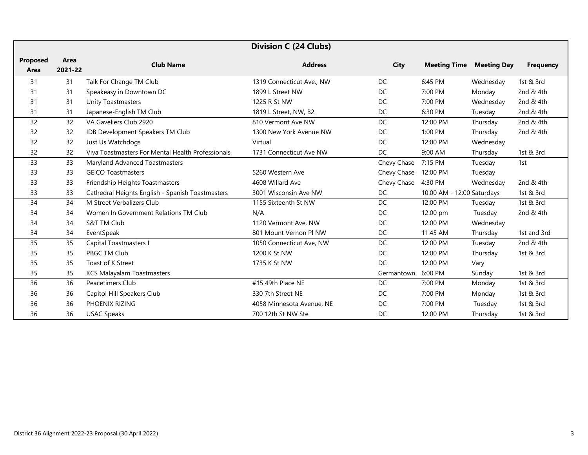|                         | <b>Division C (24 Clubs)</b> |                                                   |                           |             |                            |                    |                  |
|-------------------------|------------------------------|---------------------------------------------------|---------------------------|-------------|----------------------------|--------------------|------------------|
| <b>Proposed</b><br>Area | Area<br>2021-22              | <b>Club Name</b>                                  | <b>Address</b>            | <b>City</b> | <b>Meeting Time</b>        | <b>Meeting Day</b> | <b>Frequency</b> |
| 31                      | 31                           | Talk For Change TM Club                           | 1319 Connecticut Ave., NW | DC          | 6:45 PM                    | Wednesday          | 1st & 3rd        |
| 31                      | 31                           | Speakeasy in Downtown DC                          | 1899 L Street NW          | DC          | 7:00 PM                    | Monday             | 2nd & 4th        |
| 31                      | 31                           | <b>Unity Toastmasters</b>                         | 1225 R St NW              | DC          | 7:00 PM                    | Wednesday          | 2nd & 4th        |
| 31                      | 31                           | Japanese-English TM Club                          | 1819 L Street, NW, B2     | DC          | 6:30 PM                    | Tuesday            | 2nd & 4th        |
| 32                      | 32                           | VA Gaveliers Club 2920                            | 810 Vermont Ave NW        | DC          | 12:00 PM                   | Thursday           | 2nd & 4th        |
| 32                      | 32                           | IDB Development Speakers TM Club                  | 1300 New York Avenue NW   | DC          | $1:00$ PM                  | Thursday           | 2nd & 4th        |
| 32                      | 32                           | Just Us Watchdogs                                 | Virtual                   | DC          | 12:00 PM                   | Wednesday          |                  |
| 32                      | 32                           | Viva Toastmasters For Mental Health Professionals | 1731 Connecticut Ave NW   | <b>DC</b>   | 9:00 AM                    | Thursday           | 1st & 3rd        |
| 33                      | 33                           | Maryland Advanced Toastmasters                    |                           | Chevy Chase | 7:15 PM                    | Tuesday            | 1st              |
| 33                      | 33                           | <b>GEICO Toastmasters</b>                         | 5260 Western Ave          | Chevy Chase | 12:00 PM                   | Tuesday            |                  |
| 33                      | 33                           | Friendship Heights Toastmasters                   | 4608 Willard Ave          | Chevy Chase | 4:30 PM                    | Wednesday          | 2nd & 4th        |
| 33                      | 33                           | Cathedral Heights English - Spanish Toastmasters  | 3001 Wisconsin Ave NW     | DC          | 10:00 AM - 12:00 Saturdays |                    | 1st & 3rd        |
| 34                      | 34                           | M Street Verbalizers Club                         | 1155 Sixteenth St NW      | DC          | 12:00 PM                   | Tuesday            | 1st & 3rd        |
| 34                      | 34                           | Women In Government Relations TM Club             | N/A                       | DC          | 12:00 pm                   | Tuesday            | 2nd & 4th        |
| 34                      | 34                           | <b>S&amp;T TM Club</b>                            | 1120 Vermont Ave, NW      | DC          | 12:00 PM                   | Wednesday          |                  |
| 34                      | 34                           | EventSpeak                                        | 801 Mount Vernon PI NW    | DC          | 11:45 AM                   | Thursday           | 1st and 3rd      |
| 35                      | 35                           | Capital Toastmasters I                            | 1050 Connecticut Ave, NW  | DC          | 12:00 PM                   | Tuesday            | 2nd & 4th        |
| 35                      | 35                           | PBGC TM Club                                      | 1200 K St NW              | DC          | 12:00 PM                   | Thursday           | 1st & 3rd        |
| 35                      | 35                           | Toast of K Street                                 | 1735 K St NW              | DC          | 12:00 PM                   | Vary               |                  |
| 35                      | 35                           | <b>KCS Malayalam Toastmasters</b>                 |                           | Germantown  | 6:00 PM                    | Sunday             | 1st & 3rd        |
| 36                      | 36                           | Peacetimers Club                                  | #15 49th Place NE         | DC          | 7:00 PM                    | Monday             | 1st & 3rd        |
| 36                      | 36                           | Capitol Hill Speakers Club                        | 330 7th Street NE         | <b>DC</b>   | 7:00 PM                    | Monday             | 1st & 3rd        |
| 36                      | 36                           | PHOENIX RIZING                                    | 4058 Minnesota Avenue, NE | DC          | 7:00 PM                    | Tuesday            | 1st & 3rd        |
| 36                      | 36                           | <b>USAC Speaks</b>                                | 700 12th St NW Ste        | DC          | 12:00 PM                   | Thursday           | 1st & 3rd        |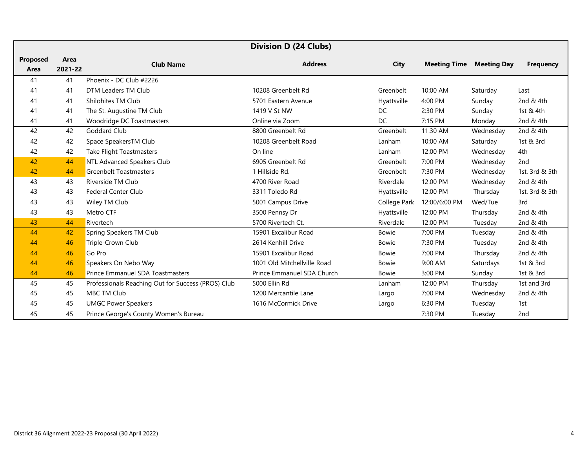| <b>Division D (24 Clubs)</b> |         |                                                    |                             |              |                     |                    |                  |
|------------------------------|---------|----------------------------------------------------|-----------------------------|--------------|---------------------|--------------------|------------------|
| <b>Proposed</b>              | Area    | <b>Club Name</b>                                   | <b>Address</b>              | City         | <b>Meeting Time</b> | <b>Meeting Day</b> | <b>Frequency</b> |
| Area                         | 2021-22 |                                                    |                             |              |                     |                    |                  |
| 41                           | 41      | Phoenix - DC Club #2226                            |                             |              |                     |                    |                  |
| 41                           | 41      | DTM Leaders TM Club                                | 10208 Greenbelt Rd          | Greenbelt    | 10:00 AM            | Saturday           | Last             |
| 41                           | 41      | Shilohites TM Club                                 | 5701 Eastern Avenue         | Hyattsville  | 4:00 PM             | Sunday             | 2nd & 4th        |
| 41                           | 41      | The St. Augustine TM Club                          | 1419 V St NW                | DC           | 2:30 PM             | Sunday             | 1st & 4th        |
| 41                           | 41      | Woodridge DC Toastmasters                          | Online via Zoom             | <b>DC</b>    | 7:15 PM             | Monday             | 2nd & 4th        |
| 42                           | 42      | Goddard Club                                       | 8800 Greenbelt Rd           | Greenbelt    | 11:30 AM            | Wednesday          | 2nd & 4th        |
| 42                           | 42      | Space SpeakersTM Club                              | 10208 Greenbelt Road        | Lanham       | 10:00 AM            | Saturday           | 1st & 3rd        |
| 42                           | 42      | <b>Take Flight Toastmasters</b>                    | On line                     | Lanham       | 12:00 PM            | Wednesday          | 4th              |
| 42                           | 44      | NTL Advanced Speakers Club                         | 6905 Greenbelt Rd           | Greenbelt    | 7:00 PM             | Wednesday          | 2 <sub>nd</sub>  |
| 42                           | 44      | <b>Greenbelt Toastmasters</b>                      | 1 Hillside Rd.              | Greenbelt    | 7:30 PM             | Wednesday          | 1st, 3rd & 5th   |
| 43                           | 43      | Riverside TM Club                                  | 4700 River Road             | Riverdale    | 12:00 PM            | Wednesday          | 2nd & 4th        |
| 43                           | 43      | <b>Federal Center Club</b>                         | 3311 Toledo Rd              | Hyattsville  | 12:00 PM            | Thursday           | 1st, 3rd & 5th   |
| 43                           | 43      | Wiley TM Club                                      | 5001 Campus Drive           | College Park | 12:00/6:00 PM       | Wed/Tue            | 3rd              |
| 43                           | 43      | Metro CTF                                          | 3500 Pennsy Dr              | Hyattsville  | 12:00 PM            | Thursday           | 2nd & 4th        |
| 43                           | 44      | Rivertech                                          | 5700 Rivertech Ct.          | Riverdale    | 12:00 PM            | Tuesday            | 2nd & 4th        |
| 44                           | 42      | Spring Speakers TM Club                            | 15901 Excalibur Road        | <b>Bowie</b> | 7:00 PM             | Tuesday            | 2nd & 4th        |
| 44                           | 46      | Triple-Crown Club                                  | 2614 Kenhill Drive          | <b>Bowie</b> | 7:30 PM             | Tuesday            | 2nd & 4th        |
| 44                           | 46      | Go Pro                                             | 15901 Excalibur Road        | <b>Bowie</b> | 7:00 PM             | Thursday           | 2nd & 4th        |
| 44                           | 46      | Speakers On Nebo Way                               | 1001 Old Mitchellville Road | <b>Bowie</b> | 9:00 AM             | Saturdays          | 1st & 3rd        |
| 44                           | 46      | Prince Emmanuel SDA Toastmasters                   | Prince Emmanuel SDA Church  | <b>Bowie</b> | 3:00 PM             | Sunday             | 1st & 3rd        |
| 45                           | 45      | Professionals Reaching Out for Success (PROS) Club | 5000 Ellin Rd               | Lanham       | 12:00 PM            | Thursday           | 1st and 3rd      |
| 45                           | 45      | <b>MBC TM Club</b>                                 | 1200 Mercantile Lane        | Largo        | 7:00 PM             | Wednesday          | 2nd & 4th        |
| 45                           | 45      | <b>UMGC Power Speakers</b>                         | 1616 McCormick Drive        | Largo        | 6:30 PM             | Tuesday            | 1st              |
| 45                           | 45      | Prince George's County Women's Bureau              |                             |              | 7:30 PM             | Tuesday            | 2nd              |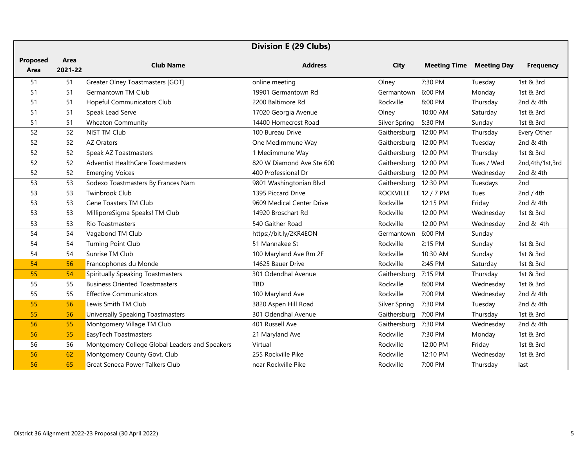|                  | <b>Division E (29 Clubs)</b> |                                                |                           |                       |                     |                    |                   |
|------------------|------------------------------|------------------------------------------------|---------------------------|-----------------------|---------------------|--------------------|-------------------|
| Proposed<br>Area | Area<br>2021-22              | <b>Club Name</b>                               | <b>Address</b>            | <b>City</b>           | <b>Meeting Time</b> | <b>Meeting Day</b> | <b>Frequency</b>  |
| 51               | 51                           | Greater Olney Toastmasters [GOT]               | online meeting            | Olney                 | 7:30 PM             | Tuesday            | 1st & 3rd         |
| 51               | 51                           | Germantown TM Club                             | 19901 Germantown Rd       | Germantown            | 6:00 PM             | Monday             | 1st & 3rd         |
| 51               | 51                           | Hopeful Communicators Club                     | 2200 Baltimore Rd         | Rockville             | 8:00 PM             | Thursday           | 2nd & 4th         |
| 51               | 51                           | Speak Lead Serve                               | 17020 Georgia Avenue      | Olney                 | 10:00 AM            | Saturday           | 1st & 3rd         |
| 51               | 51                           | <b>Wheaton Community</b>                       | 14400 Homecrest Road      | Silver Spring         | 5:30 PM             | Sunday             | 1st & 3rd         |
| 52               | 52                           | <b>NIST TM Club</b>                            | 100 Bureau Drive          | Gaithersburg          | 12:00 PM            | Thursday           | Every Other       |
| 52               | 52                           | <b>AZ Orators</b>                              | One Medimmune Way         | Gaithersburg 12:00 PM |                     | Tuesday            | 2nd & 4th         |
| 52               | 52                           | Speak AZ Toastmasters                          | 1 Medimmune Way           | Gaithersburg 12:00 PM |                     | Thursday           | 1st & 3rd         |
| 52               | 52                           | <b>Adventist HealthCare Toastmasters</b>       | 820 W Diamond Ave Ste 600 | Gaithersburg          | 12:00 PM            | Tues / Wed         | 2nd, 4th/1st, 3rd |
| 52               | 52                           | <b>Emerging Voices</b>                         | 400 Professional Dr       | Gaithersburg          | 12:00 PM            | Wednesday          | 2nd & 4th         |
| 53               | 53                           | Sodexo Toastmasters By Frances Nam             | 9801 Washingtonian Blvd   | Gaithersburg          | 12:30 PM            | Tuesdays           | 2nd               |
| 53               | 53                           | <b>Twinbrook Club</b>                          | 1395 Piccard Drive        | <b>ROCKVILLE</b>      | 12 / 7 PM           | Tues               | 2nd / $4th$       |
| 53               | 53                           | Gene Toasters TM Club                          | 9609 Medical Center Drive | Rockville             | 12:15 PM            | Friday             | 2nd & 4th         |
| 53               | 53                           | MilliporeSigma Speaks! TM Club                 | 14920 Broschart Rd        | Rockville             | 12:00 PM            | Wednesday          | 1st & 3rd         |
| 53               | 53                           | <b>Rio Toastmasters</b>                        | 540 Gaither Road          | Rockville             | 12:00 PM            | Wednesday          | 2nd & 4th         |
| 54               | 54                           | Vagabond TM Club                               | https://bit.ly/2KR4EON    | Germantown            | 6:00 PM             | Sunday             |                   |
| 54               | 54                           | <b>Turning Point Club</b>                      | 51 Mannakee St            | Rockville             | 2:15 PM             | Sunday             | 1st & 3rd         |
| 54               | 54                           | Sunrise TM Club                                | 100 Maryland Ave Rm 2F    | Rockville             | 10:30 AM            | Sunday             | 1st & 3rd         |
| 54               | 56                           | Francophones du Monde                          | 14625 Bauer Drive         | Rockville             | 2:45 PM             | Saturday           | 1st & 3rd         |
| 55               | 54                           | <b>Spiritually Speaking Toastmasters</b>       | 301 Odendhal Avenue       | Gaithersburg          | 7:15 PM             | Thursday           | 1st & 3rd         |
| 55               | 55                           | <b>Business Oriented Toastmasters</b>          | <b>TBD</b>                | Rockville             | 8:00 PM             | Wednesday          | 1st & 3rd         |
| 55               | 55                           | <b>Effective Communicators</b>                 | 100 Maryland Ave          | Rockville             | 7:00 PM             | Wednesday          | 2nd & 4th         |
| 55               | 56                           | Lewis Smith TM Club                            | 3820 Aspen Hill Road      | <b>Silver Spring</b>  | 7:30 PM             | Tuesday            | 2nd & 4th         |
| 55               | 56                           | <b>Universally Speaking Toastmasters</b>       | 301 Odendhal Avenue       | Gaithersburg          | 7:00 PM             | Thursday           | 1st & 3rd         |
| 56               | 55                           | Montgomery Village TM Club                     | 401 Russell Ave           | Gaithersburg          | 7:30 PM             | Wednesday          | 2nd & 4th         |
| 56               | 55                           | EasyTech Toastmasters                          | 21 Maryland Ave           | Rockville             | 7:30 PM             | Monday             | 1st & 3rd         |
| 56               | 56                           | Montgomery College Global Leaders and Speakers | Virtual                   | Rockville             | 12:00 PM            | Friday             | 1st & 3rd         |
| 56               | 62                           | Montgomery County Govt. Club                   | 255 Rockville Pike        | Rockville             | 12:10 PM            | Wednesday          | 1st & 3rd         |
| 56               | 65                           | <b>Great Seneca Power Talkers Club</b>         | near Rockville Pike       | Rockville             | 7:00 PM             | Thursday           | last              |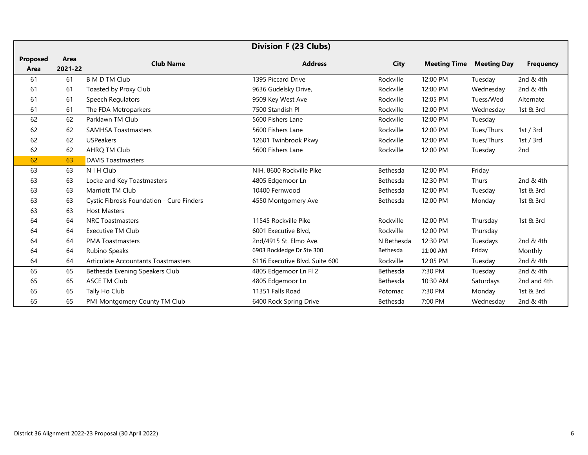|                 | <b>Division F (23 Clubs)</b> |                                           |                                |             |                     |                    |                  |
|-----------------|------------------------------|-------------------------------------------|--------------------------------|-------------|---------------------|--------------------|------------------|
| <b>Proposed</b> | Area                         | <b>Club Name</b>                          | <b>Address</b>                 | <b>City</b> | <b>Meeting Time</b> | <b>Meeting Day</b> | <b>Frequency</b> |
| Area            | 2021-22                      |                                           |                                |             |                     |                    |                  |
| 61              | 61                           | <b>B M D TM Club</b>                      | 1395 Piccard Drive             | Rockville   | 12:00 PM            | Tuesday            | 2nd & 4th        |
| 61              | 61                           | Toasted by Proxy Club                     | 9636 Gudelsky Drive,           | Rockville   | 12:00 PM            | Wednesday          | 2nd & 4th        |
| 61              | 61                           | Speech Regulators                         | 9509 Key West Ave              | Rockville   | 12:05 PM            | Tuess/Wed          | Alternate        |
| 61              | 61                           | The FDA Metroparkers                      | 7500 Standish Pl               | Rockville   | 12:00 PM            | Wednesday          | 1st & 3rd        |
| 62              | 62                           | Parklawn TM Club                          | 5600 Fishers Lane              | Rockville   | 12:00 PM            | Tuesday            |                  |
| 62              | 62                           | <b>SAMHSA Toastmasters</b>                | 5600 Fishers Lane              | Rockville   | 12:00 PM            | Tues/Thurs         | 1st / $3rd$      |
| 62              | 62                           | <b>USPeakers</b>                          | 12601 Twinbrook Pkwy           | Rockville   | 12:00 PM            | Tues/Thurs         | 1st / $3rd$      |
| 62              | 62                           | AHRQ TM Club                              | 5600 Fishers Lane              | Rockville   | 12:00 PM            | Tuesday            | 2nd              |
| 62              | 63                           | <b>DAVIS Toastmasters</b>                 |                                |             |                     |                    |                  |
| 63              | 63                           | N I H Club                                | NIH, 8600 Rockville Pike       | Bethesda    | 12:00 PM            | Friday             |                  |
| 63              | 63                           | Locke and Key Toastmasters                | 4805 Edgemoor Ln               | Bethesda    | 12:30 PM            | <b>Thurs</b>       | 2nd & 4th        |
| 63              | 63                           | Marriott TM Club                          | 10400 Fernwood                 | Bethesda    | 12:00 PM            | Tuesday            | 1st & 3rd        |
| 63              | 63                           | Cystic Fibrosis Foundation - Cure Finders | 4550 Montgomery Ave            | Bethesda    | 12:00 PM            | Monday             | 1st & 3rd        |
| 63              | 63                           | <b>Host Masters</b>                       |                                |             |                     |                    |                  |
| 64              | 64                           | <b>NRC Toastmasters</b>                   | 11545 Rockville Pike           | Rockville   | 12:00 PM            | Thursday           | 1st & 3rd        |
| 64              | 64                           | Executive TM Club                         | 6001 Executive Blvd.           | Rockville   | 12:00 PM            | Thursday           |                  |
| 64              | 64                           | <b>PMA Toastmasters</b>                   | 2nd/4915 St. Elmo Ave.         | N Bethesda  | 12:30 PM            | Tuesdays           | 2nd & 4th        |
| 64              | 64                           | Rubino Speaks                             | 6903 Rockledge Dr Ste 300      | Bethesda    | 11:00 AM            | Friday             | Monthly          |
| 64              | 64                           | Articulate Accountants Toastmasters       | 6116 Executive Blvd. Suite 600 | Rockville   | 12:05 PM            | Tuesday            | 2nd & 4th        |
| 65              | 65                           | Bethesda Evening Speakers Club            | 4805 Edgemoor Ln Fl 2          | Bethesda    | 7:30 PM             | Tuesday            | 2nd & 4th        |
| 65              | 65                           | <b>ASCE TM Club</b>                       | 4805 Edgemoor Ln               | Bethesda    | 10:30 AM            | Saturdays          | 2nd and 4th      |
| 65              | 65                           | Tally Ho Club                             | 11351 Falls Road               | Potomac     | 7:30 PM             | Monday             | 1st & 3rd        |
| 65              | 65                           | PMI Montgomery County TM Club             | 6400 Rock Spring Drive         | Bethesda    | 7:00 PM             | Wednesday          | 2nd & 4th        |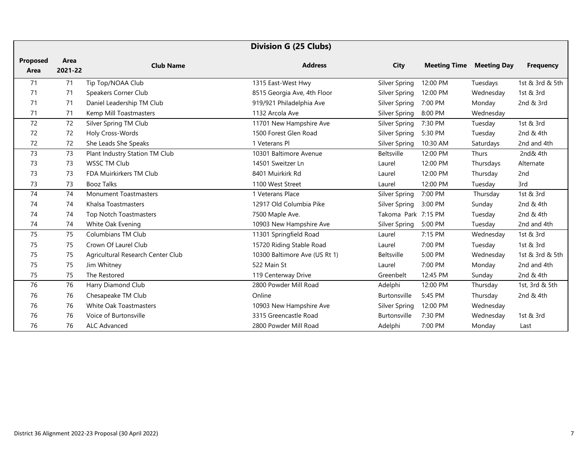|                         |                 |                                   | <b>Division G (25 Clubs)</b>  |                     |                     |                    |                  |
|-------------------------|-----------------|-----------------------------------|-------------------------------|---------------------|---------------------|--------------------|------------------|
| <b>Proposed</b><br>Area | Area<br>2021-22 | <b>Club Name</b>                  | <b>Address</b>                | <b>City</b>         | <b>Meeting Time</b> | <b>Meeting Day</b> | <b>Frequency</b> |
| 71                      | 71              | Tip Top/NOAA Club                 | 1315 East-West Hwy            | Silver Spring       | 12:00 PM            | Tuesdays           | 1st & 3rd & 5th  |
| 71                      | 71              | Speakers Corner Club              | 8515 Georgia Ave, 4th Floor   | Silver Spring       | 12:00 PM            | Wednesday          | 1st & 3rd        |
| 71                      | 71              | Daniel Leadership TM Club         | 919/921 Philadelphia Ave      | Silver Spring       | 7:00 PM             | Monday             | 2nd & 3rd        |
| 71                      | 71              | Kemp Mill Toastmasters            | 1132 Arcola Ave               | Silver Spring       | 8:00 PM             | Wednesday          |                  |
| 72                      | 72              | Silver Spring TM Club             | 11701 New Hampshire Ave       | Silver Spring       | 7:30 PM             | Tuesday            | 1st & 3rd        |
| 72                      | 72              | Holy Cross-Words                  | 1500 Forest Glen Road         | Silver Spring       | 5:30 PM             | Tuesday            | 2nd & 4th        |
| 72                      | 72              | She Leads She Speaks              | 1 Veterans Pl                 | Silver Spring       | 10:30 AM            | Saturdays          | 2nd and 4th      |
| 73                      | 73              | Plant Industry Station TM Club    | 10301 Baltimore Avenue        | Beltsville          | 12:00 PM            | Thurs              | 2nd& 4th         |
| 73                      | 73              | <b>WSSC TM Club</b>               | 14501 Sweitzer Ln             | Laurel              | 12:00 PM            | Thursdays          | Alternate        |
| 73                      | 73              | FDA Muirkirkers TM Club           | 8401 Muirkirk Rd              | Laurel              | 12:00 PM            | Thursday           | 2 <sub>nd</sub>  |
| 73                      | 73              | <b>Booz Talks</b>                 | 1100 West Street              | Laurel              | 12:00 PM            | Tuesday            | 3rd              |
| 74                      | 74              | <b>Monument Toastmasters</b>      | 1 Veterans Place              | Silver Spring       | 7:00 PM             | Thursday           | 1st & 3rd        |
| 74                      | 74              | Khalsa Toastmasters               | 12917 Old Columbia Pike       | Silver Spring       | 3:00 PM             | Sunday             | 2nd & 4th        |
| 74                      | 74              | <b>Top Notch Toastmasters</b>     | 7500 Maple Ave.               | Takoma Park 7:15 PM |                     | Tuesday            | 2nd & 4th        |
| 74                      | 74              | White Oak Evening                 | 10903 New Hampshire Ave       | Silver Spring       | 5:00 PM             | Tuesday            | 2nd and 4th      |
| 75                      | 75              | <b>Columbians TM Club</b>         | 11301 Springfield Road        | Laurel              | 7:15 PM             | Wednesday          | 1st & 3rd        |
| 75                      | 75              | Crown Of Laurel Club              | 15720 Riding Stable Road      | Laurel              | 7:00 PM             | Tuesday            | 1st & 3rd        |
| 75                      | 75              | Agricultural Research Center Club | 10300 Baltimore Ave (US Rt 1) | Beltsville          | 5:00 PM             | Wednesday          | 1st & 3rd & 5th  |
| 75                      | 75              | Jim Whitney                       | 522 Main St                   | Laurel              | 7:00 PM             | Monday             | 2nd and 4th      |
| 75                      | 75              | The Restored                      | 119 Centerway Drive           | Greenbelt           | 12:45 PM            | Sunday             | 2nd & 4th        |
| 76                      | 76              | Harry Diamond Club                | 2800 Powder Mill Road         | Adelphi             | 12:00 PM            | Thursday           | 1st, 3rd & 5th   |
| 76                      | 76              | Chesapeake TM Club                | Online                        | <b>Burtonsville</b> | 5:45 PM             | Thursday           | 2nd & 4th        |
| 76                      | 76              | White Oak Toastmasters            | 10903 New Hampshire Ave       | Silver Spring       | 12:00 PM            | Wednesday          |                  |
| 76                      | 76              | Voice of Burtonsville             | 3315 Greencastle Road         | Burtonsville        | 7:30 PM             | Wednesday          | 1st & 3rd        |
| 76                      | 76              | ALC Advanced                      | 2800 Powder Mill Road         | Adelphi             | 7:00 PM             | Monday             | Last             |